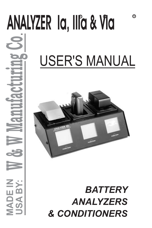# R ANOIC **ANALYZER Ia, IIIa & VIa** $\dot{\mathbf{S}}$ **USA BY: W & W Manufacturing Co** USER'S MANUAL **MADE IN BATTERY**  $\blacktriangleleft$ *BATTERY & CONDITIONERS*

*& CONDITIONERS*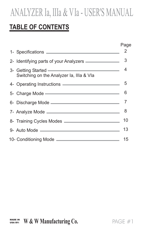### **TABLE OF CONTENTS**

|                                                                                                                                                                                                                                | Page |
|--------------------------------------------------------------------------------------------------------------------------------------------------------------------------------------------------------------------------------|------|
|                                                                                                                                                                                                                                | 2    |
| 2- Identifying parts of your Analyzers _______________                                                                                                                                                                         | 3    |
| 3- Getting Started <u>- and a started</u> 4<br>Switching on the Analyzer Ia, IIIa & VIa                                                                                                                                        |      |
| 4- Operating Instructions <u>experience</u>                                                                                                                                                                                    | 5    |
| 5- Charge Mode - The Charge Mode - The Charge Mode - The Charge of the Charge of the Charge of the Charge of the Charge of the Charge of the Charge of the Charge of the Charge of the Charge of the Charge of the Charge of t | 6    |
|                                                                                                                                                                                                                                |      |
|                                                                                                                                                                                                                                | 8    |
|                                                                                                                                                                                                                                | 10   |
|                                                                                                                                                                                                                                | 13   |
|                                                                                                                                                                                                                                | 15   |
|                                                                                                                                                                                                                                |      |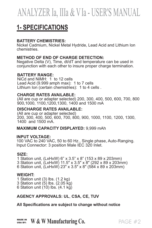### **1- SPECIFICATIONS**

#### **BATTERY CHEMISTRIES:**

Nickel Cadmium, Nickel Metal Hydride, Lead Acid and Lithium Ion chemistries.

#### **METHOD OF END OF CHARGE DETECTION:**

Negative Delta (V), Time, dt/dT and temperature can be used in conjunction with each other to insure proper charge termination.

#### **BATTERY RANGE:**

NiCd and NiMH: 1 to 12 cells Lead Acid (9.999 amph max): 1 to 7 cells Lithium Ion (certain chemistries): 1 to 4 cells .

#### **CHARGE RATES AVAILABLE:**

(All are cup or adapter selected) 200, 300, 400, 500, 600, 700, 800 900,1000, 1100,1200,1300, 1400 and 1500 mA

#### **DISCHARGE RATES AVAILABLE:**

(All are cup or adapter selected) 200, 300, 400, 500, 600, 700, 800, 900, 1000, 1100, 1200, 1300, 1400 and 1500 mA.

#### **MAXIMUM CAPACITY DISPLAYED:** 9,999 mAh

#### **INPUT VOLTAGE:**

100 VAC to 240 VAC, 50 to 60 Hz., Single phase, Auto-Ranging. Input Connector: 3 position Male IEC 320 Inlet.

#### **SIZE:**

1 Station unit, (LxHxW) 6" x 3.5" x 8" (153 x 89 x 203mm)

- 3 Station unit, (LxHxW) 11.5" x 3.5" x 8" (292 x 89 x 203mm)
- 6 Station unit, (LxHxW) 23" x 3.5" x 8" (584 x 89 x 203mm)

#### **WEIGHT:**

- 1 Station unit (3) lbs. (1.2 kg)
- 3 Station unit  $(5)$  lbs.  $(2.05 \text{ kg})$
- 6 Station unit (10) lbs. (4.1 kg)

#### **AGENCY APPROVALS: UL, CSA, CE, TUV**

**All Specifications are subject to change without notice**

## WASE IN W & W Manufacturing Co.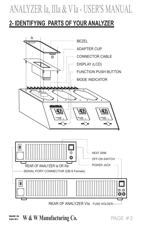### **2- IDENTIFYING PARTS OF YOUR ANALYZER**



WADE IN W & W Manufacturing Co. USA BY:

PAGE #3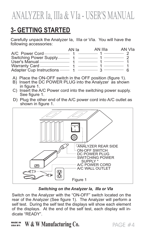### **3- GETTING STARTED**

Carefully unpack the Analyzer Ia, IIIa or VIa. You will have the following accessories:

|                          | AN la | AN IIIa | AN VIa |
|--------------------------|-------|---------|--------|
| A/C Power Cord-          |       |         |        |
| Switching Power Supply-  |       |         |        |
| User's Manual            |       |         |        |
| Warranty Card —          |       |         |        |
| Adapter Cup Instructions |       |         |        |

- A) Place the ON-OFF switch in the OFF position (figure 1).
- B) Insert the DC POWER PLUG into the Analyzer as shown in figure 1.
- C) Insert the A/C Power cord into the switching power supply. See figure 1.
- D) Plug the other end of the A/C power cord into A/C outlet as shown in figure 1.



*Switching on the Analyzer Ia, IIIa or VIa* Switch on the Analyzer with the "ON-OFF" switch located on the . .dicate "READY".rear of the Analyzer (See figure 1). The Analyzer will perform a self test. During the self test the displays will show each element of the displays. At the end of the self test, each display will in-

#### WADE IN W & W Manufacturing Co. USA BY:

PAGE #4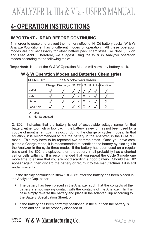### **4- OPERATION INSTRUCTIONS**

#### **IMPORTANT - READ BEFORE CONTINUING.**

1. In order to erase and prevent the memory effect of Ni-Cd battery packs, W & W Analyzer/Conditioner has 8 different modes of operation. All these operation modes are not necessarily for other battery pack chemistries like Ni-MH, Li-Ion and Lead Acid. Therefore, we suggest using the W & W Analyzer operation modes according to the following table:

**\*Important:** None of theW&W Operation Modes will harm any battery pack.

|  |  | W & W Operation Modes and Batteries Chemistries |  |  |  |  |
|--|--|-------------------------------------------------|--|--|--|--|
|  |  |                                                 |  |  |  |  |

| <b>CHEMISTRY</b> | W & W ANALYZER MODES |                                             |  |   |   |  |  |  |  |
|------------------|----------------------|---------------------------------------------|--|---|---|--|--|--|--|
|                  |                      | Charge Discharge C1 C2 C3 C4 Auto Condition |  |   |   |  |  |  |  |
| Ni-Cd            |                      |                                             |  |   |   |  |  |  |  |
| Ni-MH            |                      |                                             |  | Χ | Χ |  |  |  |  |
| Li-lon           |                      |                                             |  |   | Χ |  |  |  |  |
| Lead Acid        |                      |                                             |  |   | X |  |  |  |  |

 $\sqrt{\ }$ - Use

X - Not Suggested

2. E02 - Indicates that the battery is out of acceptable voltage range for that battery, either too high or too low. If the battery is new or has not been used for a couple of months, an E02 may occur during the charge or cycles modes. In that situation, it is recommended to put the battery in the Analyzer, in the CHARGE mode. This may have to be repeated two or three times. Once you have completed a Charge mode, it is recommended to condition the battery by placing it in the Analyzer in the cycle three mode. If the battery has been used on a regular basis and the E02 is displayed, then the battery in all probability has a shorted cell or cells within it. It is recommended that you repeat the Cycle 3 mode one more time to ensure that you are not discarding a good battery. Should the E02 appear again, then discard the battery or return it to the manufacturer if it is still .under warranty.

3. If the display continues to show "READY" after the battery has been placed in the Analyzer Cup, either

- A. The battery has been placed in the Analyzer such that the contacts of the battery are not making contact with the contacts of the Analyzer. In this case simply reverse the battery and place in the Adapter Cup according to the Battery Specification Sheet, or
- B. If the battery has been correctly positioned in the cup then the battery is .open and should be properly disposed of.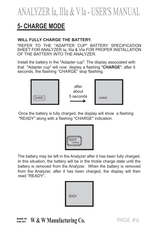### **5- CHARGE MODE**

#### **WILL FULLY CHARGE THE BATTERY.**

\*REFER TO THE "ADAPTER CUP" BATTERY SPECIFICATION SHEET FOR ANALYZER Ia, IIIa & VIa FOR PROPER INSTALLATION OF THE BATTERY INTO THE ANALYZER.

Install the battery in the "Adapter cup". The display associated with that "Adapter cup" will now display a flashing "CHARGE"; after 5 seconds, the flashing "CHARGE" stop flashing.



Once the battery is fully charged, the display will show a flashing "READY" along with a flashing "CHARGE" indication.



The battery may be left in the Analyzer after it has been fully charged. In this situation, the battery will be in the trickle charge state until the battery is removed from the Analyzer. When the battery is removed from the Analyzer, after it has been charged, the display will then read "READY".



#### WADE IN W & W Manufacturing Co. USA BY: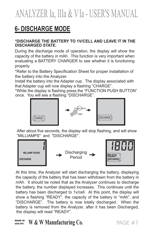## **6- DISCHARGE MODE**

#### **\*DISCHARGE THE BATTERY TO 1V/CELL AND LEAVE IT IN THE DISCHARGED STATE.**

During the discharge mode of operation, the display will show the capacity of the battery in mAh. This function is very important when evaluating a BATTERY CHARGER to see whether it is functioning properly.

\*Refer to the Battery Specification Sheet for proper installation of the battery into the Analyzer.

Install the battery into the Adapter cup. The display associated with that Adapter cup will now display a flashing "CHARGE".

\*While the display is flashing press the "FUNCTION PUSH BUTTON" .once. You will see a flashing "DISCHARGE".



After about five seconds, the display will stop flashing, and will show "MILLIAMPS" and "DISCHARGE".



At this time, the Analyzer will start discharging the battery, displaying the capacity of the battery that has been withdrawn from the battery in mAh. It should be noted that as the Analyzer continues to discharge the battery, the number displayed increases. This continues until the battery has been discharged to 1v/cell. At this point, the display will show a flashing "READY", the capacity of the battery in "mAh", and "DISCHARGE". The battery is now totally discharged. When the battery is removed from the Analyzer, after it has been Discharged, the display will read "READY".

#### WADE IN W & W Manufacturing Co. USA BY:

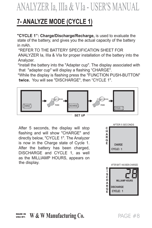### **7- ANALYZE MODE (CYCLE 1)**

state of the battery, and gives you the actual capacity of the battery in mAh. **"CYCLE 1": Charge/Discharge/Recharge,** is used to evaluate the

\*REFER TO THE BATTERY SPECIFICATION SHEET FOR

ANALYZER Ia, IIIa & VIa for proper installation of the battery into the Analyzer.

\*Install the battery into the "Adapter cup". The display associated with that "adapter cup" will display a flashing "CHARGE".

\*While the display is flashing press the "FUNCTION PUSH-BUTTON" **twice.** You will see "DISCHARGE", then "CYCLE 1".



After 5 seconds, the display will stop flashing and will show "CHARGE" and directly below, "CYCLE 1". The Analyzer is now in the Charge state of Cycle 1. After the battery has been charged, DISCHARGE and CYCLE 1, as well as the MILLIAMP HOURS, appears on the display.



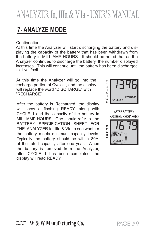### **7- ANALYZE MODE**

Continuation...

At this time the Analyzer will start discharging the battery and displaying the capacity of the battery that has been withdrawn from the battery in MILLIAMP-HOURS. It should be noted that as the Analyzer continues to discharge the battery, the number displayed increases. This will continue until the battery has been discharged to 1 volt/cell.

At this time the Analyzer will go into the recharge portion of Cycle 1, and the display will replace the word "DISCHARGE" with "RECHARGE".

After the battery is Recharged, the display will show a flashing READY, along with CYCLE 1 and the capacity of the battery in MILLIAMP HOURS. One should refer to the BATTERY SPECIFICATION SHEET FOR THE ANALYZER Ia, IIIa & VIa to see whether the battery meets minimum capacity levels. Typically the battery should be within 80% of the rated capacity after one year. When the battery is removed from the Analyzer, after CYCLE 1 has been completed, the display will read READY.



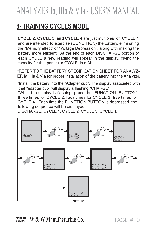### **8- TRAINING CYCLES MODE**

.capacity for that particular CYCLE in mAh. **CYCLE 2, CYCLE 3, and CYCLE 4** are just multiples of CYCLE 1 and are intended to exercise (CONDITION) the battery, eliminating the "Memory effect" or "Voltage Depression", along with making the battery more efficient. At the end of each DISCHARGE portion of each CYCLE a new reading will appear in the display, giving the

\*REFER TO THE BATTERY SPECIFICATION SHEET FOR ANALYZ-ER Ia, IIIa & VIa for proper installation of the battery into the Analyzer.

\*Install the battery into the "Adapter cup". The display associated with that "adapter cup" will display a flashing "CHARGE".

\*While the display is flashing, press the "FUNCTION BUTTON" **three** times for CYCLE 2, **four** times for CYCLE 3, **five** times for CYCLE 4. Each time the FUNCTION BUTTON is depressed, the .following sequence will be displayed:

DISCHARGE, CYCLE 1, CYCLE 2, CYCLE 3, CYCLE 4.



WADE IN W & W Manufacturing Co. USA BY: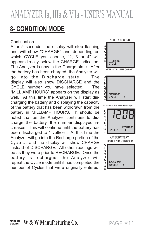### **8- CONDITION MODE**

Continuation...

After 5 seconds, the display will stop flashing and will show "CHARGE" and depending on which CYCLE you choose, "2, 3 or 4" will appear directly below the CHARGE indication. The Analyzer is now in the Charge state. After the battery has been charged, the Analyzer will go into the Discharge state. The display will also show DISCHARGE and the CYCLE number you have selected. The "MILLIAMP HOURS" appears on the display as well. At this time the Analyzer will start discharging the battery and displaying the capacity of the battery that has been withdrawn from the battery in MILLIAMP HOURS. It should be noted that as the Analyzer continues to discharge the battery, the number displayed increases. This will continue until the battery has been discharged to 1 volt/cell. At this time the Analyzer will go into the Recharge portion of the Cycle #, and the display will show CHARGE instead of DISCHARGE. All other readings will be as they were prior to RECHARGE. Once the battery is recharged, the Analyzer will repeat the Cycle mode until it has completed the number of Cycles that were originally entered.

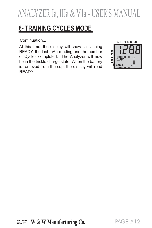### **8- TRAINING CYCLES MODE**

At this time, the display will show a flashing READY, the last mAh reading and the number of Cycles completed. The Analyzer will now be in the trickle charge state. When the battery is removed from the cup, the display will read READY.

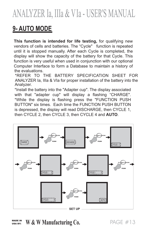## **9- AUTO MODE**

**This function is intended for life testing,** for qualifying new vendors of cells and batteries. The "Cycle" function is repeated until it is stopped manually. After each Cycle is completed, the display will show the capacity of the battery for that Cycle. This function is very useful when used in conjunction with our optional Computer Interface to form a Database to maintain a history of the evaluations.

\*REFER TO THE BATTERY SPECIFICATION SHEET FOR ANALYZER Ia, IIIa & VIa for proper installation of the battery into the Analyzer.

\*Install the battery into the "Adapter cup". The display associated with that "adapter cup" will display a flashing "CHARGE". \*While the display is flashing press the "FUNCTION PUSH BUTTON" six times. Each time the FUNCTION PUSH BUTTON is depressed, the display will read DISCHARGE, then CYCLE 1, then CYCLE 2, then CYCLE 3, then CYCLE 4 and **AUTO**.



WADE IN W & W Manufacturing Co. USA BY:

PAGE  $\#13$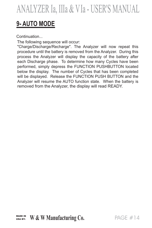### **9- AUTO MODE**

Continuation...

The following sequence will occur:

"Charge/Discharge/Recharge". The Analyzer will now repeat this procedure until the battery is removed from the Analyzer. During this process the Analyzer will display the capacity of the battery after each Discharge phase. To determine how many Cycles have been performed, simply depress the FUNCTION PUSHBUTTON located below the display. The number of Cycles that has been completed will be displayed. Release the FUNCTION PUSH BUTTON and the Analyzer will resume the AUTO function state. When the battery is removed from the Analyzer, the display will read READY.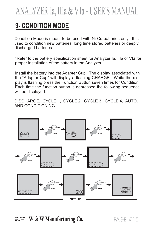### **9- CONDITION MODE**

Condition Mode is meant to be used with Ni-Cd batteries only. It is used to condition new batteries, long time stored batteries or deeply discharged batteries.

\*Refer to the battery specification sheet for Analyzer Ia, IIIa or VIa for proper installation of the battery in the Analyzer.

Install the battery into the Adapter Cup. The display associated with the "Adapter Cup" will display a flashing CHARGE. While the display is flashing press the Function Button seven times for Condition. Each time the function button is depressed the following sequence will be displayed:

DISCHARGE, CYCLE 1, CYCLE 2, CYCLE 3, CYCLE 4, AUTO, AND CONDITIONING.



WADE IN **W & W Manufacturing Co.** PAGE #15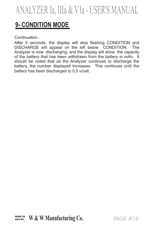### **9- CONDITION MODE**

Continuation...

After 5 seconds, the display will stop flashing CONDITION and DISCHARGE will appear on the left below CONDITION. The Analyzer is now discharging, and the display will show the capacity of the battery that has been withdrawn from the battery in mAh. It should be noted that as the Analyzer continues to discharge the battery, the number displayed increases. This continues until the battery has been discharged to 0.5 v/cell.